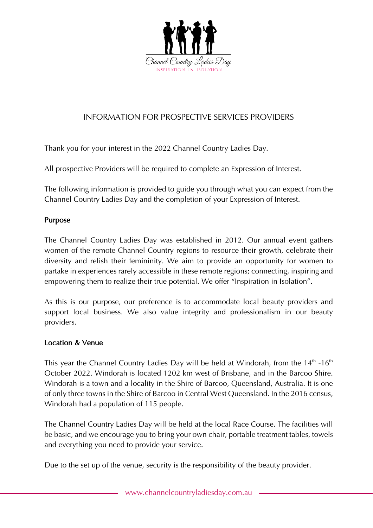

# INFORMATION FOR PROSPECTIVE SERVICES PROVIDERS

Thank you for your interest in the 2022 Channel Country Ladies Day.

All prospective Providers will be required to complete an Expression of Interest.

The following information is provided to guide you through what you can expect from the Channel Country Ladies Day and the completion of your Expression of Interest.

#### Purpose

The Channel Country Ladies Day was established in 2012. Our annual event gathers women of the remote Channel Country regions to resource their growth, celebrate their diversity and relish their femininity. We aim to provide an opportunity for women to partake in experiences rarely accessible in these remote regions; connecting, inspiring and empowering them to realize their true potential. We offer "Inspiration in Isolation".

As this is our purpose, our preference is to accommodate local beauty providers and support local business. We also value integrity and professionalism in our beauty providers.

#### Location & Venue

This year the Channel Country Ladies Day will be held at Windorah, from the  $14<sup>th</sup>$  -16<sup>th</sup> October 2022. Windorah is located 1202 km west of Brisbane, and in the Barcoo Shire. Windorah is a town and a locality in the Shire of Barcoo, Queensland, Australia. It is one of only three towns in the Shire of Barcoo in Central West Queensland. In the 2016 census, Windorah had a population of 115 people.

The Channel Country Ladies Day will be held at the local Race Course. The facilities will be basic, and we encourage you to bring your own chair, portable treatment tables, towels and everything you need to provide your service.

Due to the set up of the venue, security is the responsibility of the beauty provider.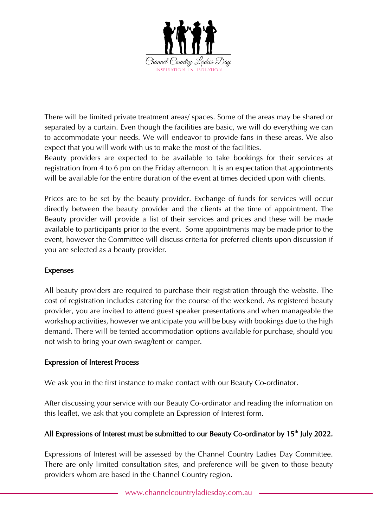

There will be limited private treatment areas/ spaces. Some of the areas may be shared or separated by a curtain. Even though the facilities are basic, we will do everything we can to accommodate your needs. We will endeavor to provide fans in these areas. We also expect that you will work with us to make the most of the facilities.

Beauty providers are expected to be available to take bookings for their services at registration from 4 to 6 pm on the Friday afternoon. It is an expectation that appointments will be available for the entire duration of the event at times decided upon with clients.

Prices are to be set by the beauty provider. Exchange of funds for services will occur directly between the beauty provider and the clients at the time of appointment. The Beauty provider will provide a list of their services and prices and these will be made available to participants prior to the event. Some appointments may be made prior to the event, however the Committee will discuss criteria for preferred clients upon discussion if you are selected as a beauty provider.

## Expenses

All beauty providers are required to purchase their registration through the website. The cost of registration includes catering for the course of the weekend. As registered beauty provider, you are invited to attend guest speaker presentations and when manageable the workshop activities, however we anticipate you will be busy with bookings due to the high demand. There will be tented accommodation options available for purchase, should you not wish to bring your own swag/tent or camper.

## Expression of Interest Process

We ask you in the first instance to make contact with our Beauty Co-ordinator.

After discussing your service with our Beauty Co-ordinator and reading the information on this leaflet, we ask that you complete an Expression of Interest form.

## All Expressions of Interest must be submitted to our Beauty Co-ordinator by 15<sup>th</sup> July 2022.

Expressions of Interest will be assessed by the Channel Country Ladies Day Committee. There are only limited consultation sites, and preference will be given to those beauty providers whom are based in the Channel Country region.